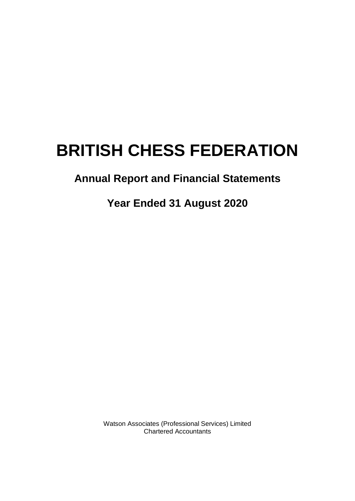# **Annual Report and Financial Statements**

# **Year Ended 31 August 2020**

Watson Associates (Professional Services) Limited Chartered Accountants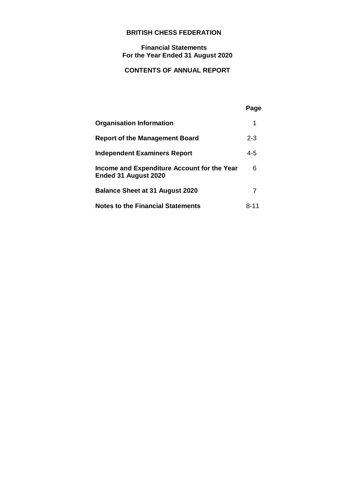# **Financial Statements For the Year Ended 31 August 2020**

# **CONTENTS OF ANNUAL REPORT**

# **Page**

| <b>Organisation Information</b>                                     |         |
|---------------------------------------------------------------------|---------|
| <b>Report of the Management Board</b>                               | $2 - 3$ |
| <b>Independent Examiners Report</b>                                 | $4 - 5$ |
| Income and Expenditure Account for the Year<br>Ended 31 August 2020 | 6       |
| <b>Balance Sheet at 31 August 2020</b>                              |         |
| <b>Notes to the Financial Statements</b>                            | 8-11    |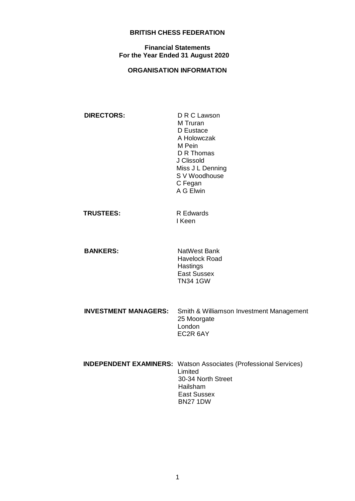# **Financial Statements For the Year Ended 31 August 2020**

# **ORGANISATION INFORMATION**

| <b>DIRECTORS:</b> | D R C Lawson     |
|-------------------|------------------|
|                   | M Truran         |
|                   | D Eustace        |
|                   | A Holowczak      |
|                   | M Pein           |
|                   | D R Thomas       |
|                   | J Clissold       |
|                   | Miss J L Denning |
|                   | S V Woodhouse    |
|                   | C Fegan          |
|                   | A G Elwin        |
|                   |                  |
|                   |                  |

| <b>TRUSTEES:</b> | R Edwards |
|------------------|-----------|
|                  | l Keen    |

**BANKERS:** NatWest Bank Havelock Road **Hastings** East Sussex TN34 1GW

| <b>INVESTMENT MANAGERS:</b> Smith & Williamson Investment Management<br>25 Moorgate |
|-------------------------------------------------------------------------------------|
| London                                                                              |
| EC2R 6AY                                                                            |

| <b>INDEPENDENT EXAMINERS:</b> Watson Associates (Professional Services) |
|-------------------------------------------------------------------------|
| Limited                                                                 |
| 30-34 North Street                                                      |
| Hailsham                                                                |
| East Sussex                                                             |
| <b>BN27 1DW</b>                                                         |
|                                                                         |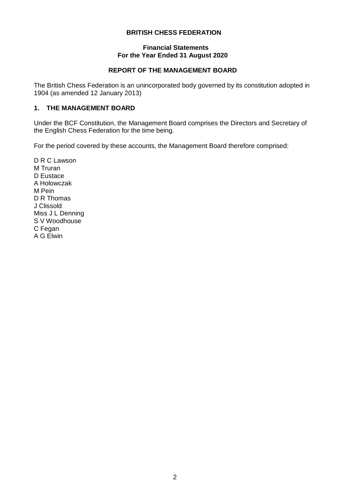# **Financial Statements For the Year Ended 31 August 2020**

# **REPORT OF THE MANAGEMENT BOARD**

The British Chess Federation is an unincorporated body governed by its constitution adopted in 1904 (as amended 12 January 2013)

# **1. THE MANAGEMENT BOARD**

Under the BCF Constitution, the Management Board comprises the Directors and Secretary of the English Chess Federation for the time being.

For the period covered by these accounts, the Management Board therefore comprised:

D R C Lawson M Truran D Eustace A Holowczak M Pein D R Thomas J Clissold Miss J L Denning S V Woodhouse C Fegan A G Elwin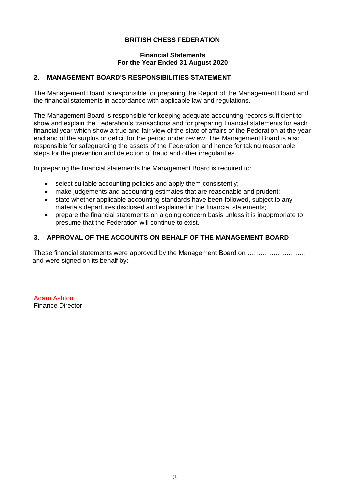# **Financial Statements For the Year Ended 31 August 2020**

# **2. MANAGEMENT BOARD'S RESPONSIBILITIES STATEMENT**

The Management Board is responsible for preparing the Report of the Management Board and the financial statements in accordance with applicable law and regulations.

The Management Board is responsible for keeping adequate accounting records sufficient to show and explain the Federation's transactions and for preparing financial statements for each financial year which show a true and fair view of the state of affairs of the Federation at the year end and of the surplus or deficit for the period under review. The Management Board is also responsible for safeguarding the assets of the Federation and hence for taking reasonable steps for the prevention and detection of fraud and other irregularities.

In preparing the financial statements the Management Board is required to:

- select suitable accounting policies and apply them consistently;
- make judgements and accounting estimates that are reasonable and prudent;
- state whether applicable accounting standards have been followed, subject to any materials departures disclosed and explained in the financial statements;
- prepare the financial statements on a going concern basis unless it is inappropriate to presume that the Federation will continue to exist.

# **3. APPROVAL OF THE ACCOUNTS ON BEHALF OF THE MANAGEMENT BOARD**

These financial statements were approved by the Management Board on ……………………… and were signed on its behalf by:-

Adam Ashton Finance Director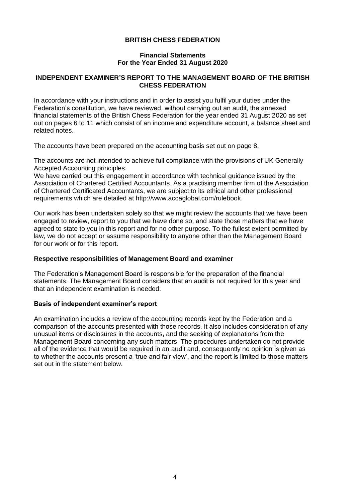## **Financial Statements For the Year Ended 31 August 2020**

# **INDEPENDENT EXAMINER'S REPORT TO THE MANAGEMENT BOARD OF THE BRITISH CHESS FEDERATION**

In accordance with your instructions and in order to assist you fulfil your duties under the Federation's constitution, we have reviewed, without carrying out an audit, the annexed financial statements of the British Chess Federation for the year ended 31 August 2020 as set out on pages 6 to 11 which consist of an income and expenditure account, a balance sheet and related notes.

The accounts have been prepared on the accounting basis set out on page 8.

The accounts are not intended to achieve full compliance with the provisions of UK Generally Accepted Accounting principles.

We have carried out this engagement in accordance with technical guidance issued by the Association of Chartered Certified Accountants. As a practising member firm of the Association of Chartered Certificated Accountants, we are subject to its ethical and other professional requirements which are detailed at http://www.accaglobal.com/rulebook.

Our work has been undertaken solely so that we might review the accounts that we have been engaged to review, report to you that we have done so, and state those matters that we have agreed to state to you in this report and for no other purpose. To the fullest extent permitted by law, we do not accept or assume responsibility to anyone other than the Management Board for our work or for this report.

#### **Respective responsibilities of Management Board and examiner**

The Federation's Management Board is responsible for the preparation of the financial statements. The Management Board considers that an audit is not required for this year and that an independent examination is needed.

#### **Basis of independent examiner's report**

An examination includes a review of the accounting records kept by the Federation and a comparison of the accounts presented with those records. It also includes consideration of any unusual items or disclosures in the accounts, and the seeking of explanations from the Management Board concerning any such matters. The procedures undertaken do not provide all of the evidence that would be required in an audit and, consequently no opinion is given as to whether the accounts present a 'true and fair view', and the report is limited to those matters set out in the statement below.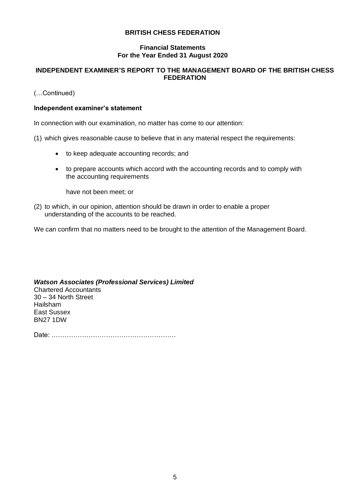# **Financial Statements For the Year Ended 31 August 2020**

# **INDEPENDENT EXAMINER'S REPORT TO THE MANAGEMENT BOARD OF THE BRITISH CHESS FEDERATION**

(…Continued)

# **Independent examiner's statement**

In connection with our examination, no matter has come to our attention:

- (1) which gives reasonable cause to believe that in any material respect the requirements:
	- to keep adequate accounting records; and
	- to prepare accounts which accord with the accounting records and to comply with the accounting requirements

have not been meet; or

(2) to which, in our opinion, attention should be drawn in order to enable a proper understanding of the accounts to be reached.

We can confirm that no matters need to be brought to the attention of the Management Board.

#### *Watson Associates (Professional Services) Limited*

Chartered Accountants 30 – 34 North Street Hailsham East Sussex BN27 1DW

Date: …………………………………………………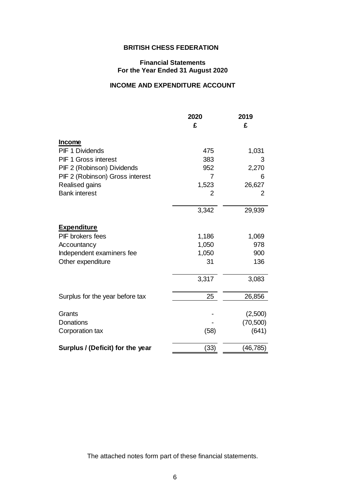# **Financial Statements For the Year Ended 31 August 2020**

# **INCOME AND EXPENDITURE ACCOUNT**

|                                                             | 2020  | 2019      |
|-------------------------------------------------------------|-------|-----------|
|                                                             | £     | £         |
|                                                             |       |           |
| <b>Income</b>                                               |       |           |
| <b>PIF 1 Dividends</b>                                      | 475   | 1,031     |
| <b>PIF 1 Gross interest</b>                                 | 383   | 3         |
| PIF 2 (Robinson) Dividends                                  | 952   | 2,270     |
| PIF 2 (Robinson) Gross interest                             | 7     | 6         |
| Realised gains                                              | 1,523 | 26,627    |
| <b>Bank interest</b>                                        | 2     | 2         |
|                                                             | 3,342 | 29,939    |
| <b>Expenditure</b>                                          |       |           |
| PIF brokers fees                                            | 1,186 | 1,069     |
| Accountancy                                                 | 1,050 | 978       |
| Independent examiners fee                                   | 1,050 | 900       |
| Other expenditure                                           | 31    | 136       |
|                                                             |       |           |
|                                                             | 3,317 | 3,083     |
| Surplus for the year before tax                             | 25    | 26,856    |
| Grants                                                      |       | (2,500)   |
| Donations                                                   |       | (70, 500) |
| Corporation tax                                             | (58)  | (641)     |
|                                                             |       |           |
| Surplus / (Deficit) for the year                            | (33)  | (46, 785) |
|                                                             |       |           |
|                                                             |       |           |
|                                                             |       |           |
|                                                             |       |           |
|                                                             |       |           |
|                                                             |       |           |
|                                                             |       |           |
|                                                             |       |           |
| The attached notes form part of these financial statements. |       |           |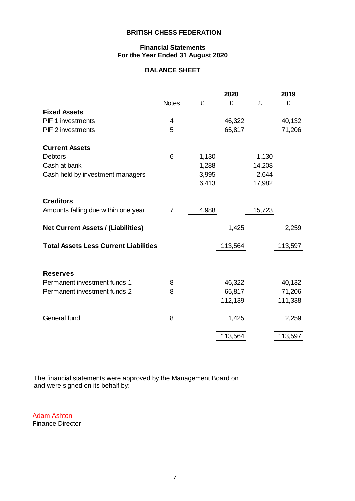# **Financial Statements For the Year Ended 31 August 2020**

# **BALANCE SHEET**

|                                              |              | 2020  |         |        | 2019    |
|----------------------------------------------|--------------|-------|---------|--------|---------|
|                                              | <b>Notes</b> | £     | £       | £      | £       |
| <b>Fixed Assets</b>                          |              |       |         |        |         |
| <b>PIF 1 investments</b>                     | 4            |       | 46,322  |        | 40,132  |
| <b>PIF 2 investments</b>                     | 5            |       | 65,817  |        | 71,206  |
|                                              |              |       |         |        |         |
| <b>Current Assets</b>                        |              |       |         |        |         |
| <b>Debtors</b>                               | 6            | 1,130 |         | 1,130  |         |
| Cash at bank                                 |              | 1,288 |         | 14,208 |         |
| Cash held by investment managers             |              | 3,995 |         | 2,644  |         |
|                                              |              | 6,413 |         | 17,982 |         |
| <b>Creditors</b>                             |              |       |         |        |         |
| Amounts falling due within one year          | 7            | 4,988 |         | 15,723 |         |
|                                              |              |       |         |        |         |
| <b>Net Current Assets / (Liabilities)</b>    |              |       | 1,425   |        | 2,259   |
| <b>Total Assets Less Current Liabilities</b> |              |       | 113,564 |        | 113,597 |
|                                              |              |       |         |        |         |
|                                              |              |       |         |        |         |
| <b>Reserves</b>                              |              |       |         |        |         |
| Permanent investment funds 1                 | 8            |       | 46,322  |        | 40,132  |
| Permanent investment funds 2                 | 8            |       | 65,817  |        | 71,206  |
|                                              |              |       | 112,139 |        | 111,338 |
|                                              |              |       |         |        |         |
| General fund                                 | 8            |       | 1,425   |        | 2,259   |
|                                              |              |       | 113,564 |        | 113,597 |
|                                              |              |       |         |        |         |

The financial statements were approved by the Management Board on …………………………. and were signed on its behalf by:

Adam Ashton Finance Director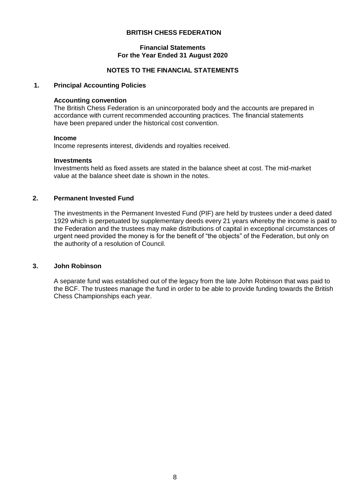#### **Financial Statements For the Year Ended 31 August 2020**

# **NOTES TO THE FINANCIAL STATEMENTS**

# **1. Principal Accounting Policies**

# **Accounting convention**

The British Chess Federation is an unincorporated body and the accounts are prepared in accordance with current recommended accounting practices. The financial statements have been prepared under the historical cost convention.

#### **Income**

Income represents interest, dividends and royalties received.

#### **Investments**

Investments held as fixed assets are stated in the balance sheet at cost. The mid-market value at the balance sheet date is shown in the notes.

# **2. Permanent Invested Fund**

The investments in the Permanent Invested Fund (PIF) are held by trustees under a deed dated 1929 which is perpetuated by supplementary deeds every 21 years whereby the income is paid to the Federation and the trustees may make distributions of capital in exceptional circumstances of urgent need provided the money is for the benefit of "the objects" of the Federation, but only on the authority of a resolution of Council.

## **3. John Robinson**

A separate fund was established out of the legacy from the late John Robinson that was paid to the BCF. The trustees manage the fund in order to be able to provide funding towards the British Chess Championships each year.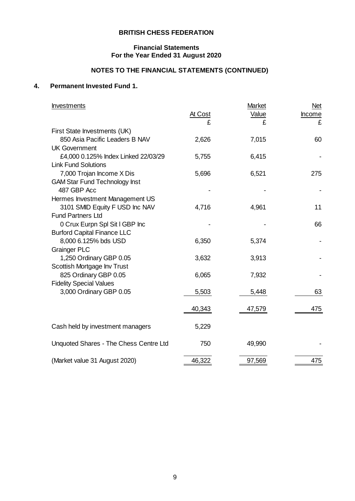# **Financial Statements For the Year Ended 31 August 2020**

# **NOTES TO THE FINANCIAL STATEMENTS (CONTINUED)**

# **4. Permanent Invested Fund 1.**

| <b>Investments</b>                             |              | Market     | <b>Net</b>  |
|------------------------------------------------|--------------|------------|-------------|
|                                                | At Cost<br>£ | Value<br>£ | Income<br>£ |
| First State Investments (UK)                   |              |            |             |
| 850 Asia Pacific Leaders B NAV                 | 2,626        | 7,015      | 60          |
| <b>UK Government</b>                           |              |            |             |
| £4,000 0.125% Index Linked 22/03/29            | 5,755        | 6,415      |             |
| <b>Link Fund Solutions</b>                     |              |            |             |
| 7,000 Trojan Income X Dis                      | 5,696        | 6,521      | 275         |
| <b>GAM Star Fund Technology Inst</b>           |              |            |             |
| 487 GBP Acc                                    |              |            |             |
| Hermes Investment Management US                |              |            |             |
| 3101 SMID Equity F USD Inc NAV                 | 4,716        | 4,961      | 11          |
| <b>Fund Partners Ltd</b>                       |              |            |             |
| 0 Crux Eurpn Spl Sit I GBP Inc                 |              |            | 66          |
| <b>Burford Capital Finance LLC</b>             |              |            |             |
| 8,000 6.125% bds USD                           | 6,350        | 5,374      |             |
| <b>Grainger PLC</b><br>1,250 Ordinary GBP 0.05 | 3,632        | 3,913      |             |
| Scottish Mortgage Inv Trust                    |              |            |             |
| 825 Ordinary GBP 0.05                          | 6,065        | 7,932      |             |
| <b>Fidelity Special Values</b>                 |              |            |             |
| 3,000 Ordinary GBP 0.05                        | 5,503        | 5,448      | 63          |
|                                                |              |            |             |
|                                                | 40,343       | 47,579     | 475         |
|                                                |              |            |             |
| Cash held by investment managers               | 5,229        |            |             |
| Unquoted Shares - The Chess Centre Ltd         | 750          | 49,990     |             |
|                                                |              |            |             |
| (Market value 31 August 2020)                  | 46,322       | 97,569     | 475         |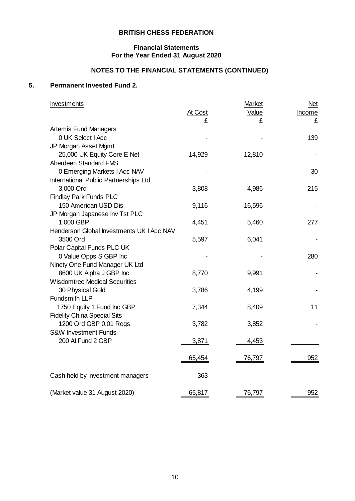# **Financial Statements For the Year Ended 31 August 2020**

# **NOTES TO THE FINANCIAL STATEMENTS (CONTINUED)**

# **5. Permanent Invested Fund 2.**

| Investments                               | At Cost | Market<br>Value<br>£ | <b>Net</b><br>Income<br>£ |
|-------------------------------------------|---------|----------------------|---------------------------|
| Artemis Fund Managers                     |         |                      |                           |
| 0 UK Select I Acc                         |         |                      | 139                       |
| JP Morgan Asset Mgmt                      |         |                      |                           |
| 25,000 UK Equity Core E Net               | 14,929  | 12,810               |                           |
| Aberdeen Standard FMS                     |         |                      |                           |
| 0 Emerging Markets I Acc NAV              |         |                      | 30                        |
| International Public Partnerships Ltd     |         |                      |                           |
| 3,000 Ord                                 | 3,808   | 4,986                | 215                       |
| <b>Findlay Park Funds PLC</b>             |         |                      |                           |
| 150 American USD Dis                      | 9,116   | 16,596               |                           |
| JP Morgan Japanese Inv Tst PLC            |         |                      |                           |
| 1,000 GBP                                 | 4,451   | 5,460                | 277                       |
| Henderson Global Investments UK I Acc NAV |         |                      |                           |
| 3500 Ord                                  | 5,597   | 6,041                |                           |
| Polar Capital Funds PLC UK                |         |                      |                           |
| 0 Value Opps S GBP Inc                    |         |                      | 280                       |
| Ninety One Fund Manager UK Ltd            |         |                      |                           |
| 8600 UK Alpha J GBP Inc                   | 8,770   | 9,991                |                           |
| <b>Wisdomtree Medical Securities</b>      |         |                      |                           |
| 30 Physical Gold                          | 3,786   | 4,199                |                           |
| <b>Fundsmith LLP</b>                      |         |                      |                           |
| 1750 Equity 1 Fund Inc GBP                | 7,344   | 8,409                | 11                        |
| <b>Fidelity China Special Sits</b>        |         |                      |                           |
| 1200 Ord GBP 0.01 Regs                    | 3,782   | 3,852                |                           |
| <b>S&amp;W Investment Funds</b>           |         |                      |                           |
| 200 Al Fund 2 GBP                         | 3,871   | 4,453                |                           |
|                                           |         |                      |                           |
|                                           | 65,454  | 76,797               | 952                       |
| Cash held by investment managers          | 363     |                      |                           |
|                                           |         |                      |                           |
| (Market value 31 August 2020)             | 65,817  | 76,797               | 952                       |